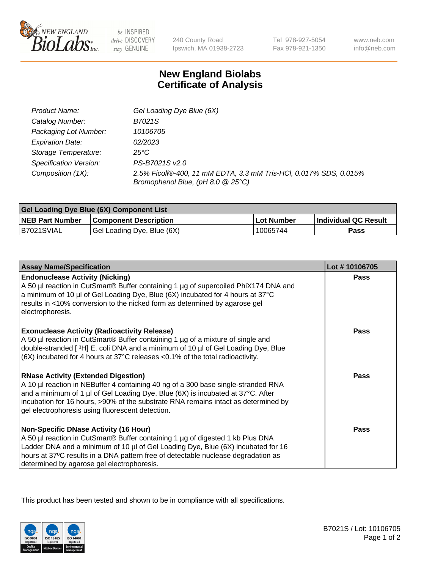

 $be$  INSPIRED drive DISCOVERY stay GENUINE

240 County Road Ipswich, MA 01938-2723 Tel 978-927-5054 Fax 978-921-1350 www.neb.com info@neb.com

## **New England Biolabs Certificate of Analysis**

| Product Name:           | Gel Loading Dye Blue (6X)                                                                              |
|-------------------------|--------------------------------------------------------------------------------------------------------|
| Catalog Number:         | B7021S                                                                                                 |
| Packaging Lot Number:   | 10106705                                                                                               |
| <b>Expiration Date:</b> | 02/2023                                                                                                |
| Storage Temperature:    | 25°C                                                                                                   |
| Specification Version:  | PS-B7021S v2.0                                                                                         |
| Composition (1X):       | 2.5% Ficoll®-400, 11 mM EDTA, 3.3 mM Tris-HCl, 0.017% SDS, 0.015%<br>Bromophenol Blue, (pH 8.0 @ 25°C) |

| <b>Gel Loading Dye Blue (6X) Component List</b> |                              |            |                      |  |
|-------------------------------------------------|------------------------------|------------|----------------------|--|
| <b>NEB Part Number</b>                          | <b>Component Description</b> | Lot Number | Individual QC Result |  |
| B7021SVIAL                                      | Gel Loading Dye, Blue (6X)   | 10065744   | Pass                 |  |

| <b>Assay Name/Specification</b>                                                                                                                                                                                                                                                                                                                              | Lot #10106705 |
|--------------------------------------------------------------------------------------------------------------------------------------------------------------------------------------------------------------------------------------------------------------------------------------------------------------------------------------------------------------|---------------|
| <b>Endonuclease Activity (Nicking)</b><br>A 50 µl reaction in CutSmart® Buffer containing 1 µg of supercoiled PhiX174 DNA and<br>a minimum of 10 µl of Gel Loading Dye, Blue (6X) incubated for 4 hours at 37°C<br>results in <10% conversion to the nicked form as determined by agarose gel<br>electrophoresis.                                            | <b>Pass</b>   |
| <b>Exonuclease Activity (Radioactivity Release)</b><br>A 50 µl reaction in CutSmart® Buffer containing 1 µg of a mixture of single and<br>double-stranded [3H] E. coli DNA and a minimum of 10 µl of Gel Loading Dye, Blue<br>(6X) incubated for 4 hours at 37°C releases <0.1% of the total radioactivity.                                                  | <b>Pass</b>   |
| <b>RNase Activity (Extended Digestion)</b><br>A 10 µl reaction in NEBuffer 4 containing 40 ng of a 300 base single-stranded RNA<br>and a minimum of 1 µl of Gel Loading Dye, Blue (6X) is incubated at 37°C. After<br>incubation for 16 hours, >90% of the substrate RNA remains intact as determined by<br>gel electrophoresis using fluorescent detection. | <b>Pass</b>   |
| <b>Non-Specific DNase Activity (16 Hour)</b><br>A 50 µl reaction in CutSmart® Buffer containing 1 µg of digested 1 kb Plus DNA<br>Ladder DNA and a minimum of 10 µl of Gel Loading Dye, Blue (6X) incubated for 16<br>hours at 37°C results in a DNA pattern free of detectable nuclease degradation as<br>determined by agarose gel electrophoresis.        | <b>Pass</b>   |

This product has been tested and shown to be in compliance with all specifications.